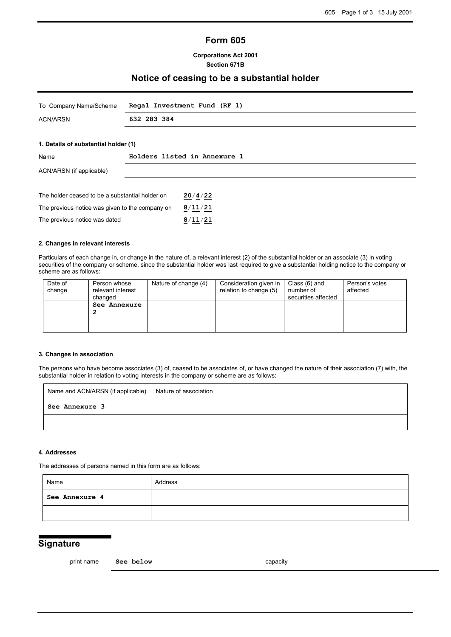## **Form 605**

### **Corporations Act 2001 Section 671B**

### **Notice of ceasing to be a substantial holder**

| To Company Name/Scheme                          | Regal Investment Fund (RF 1) |  |
|-------------------------------------------------|------------------------------|--|
| <b>ACN/ARSN</b>                                 | 632 283 384                  |  |
|                                                 |                              |  |
| 1. Details of substantial holder (1)            |                              |  |
| Name                                            | Holders listed in Annexure 1 |  |
| ACN/ARSN (if applicable)                        |                              |  |
|                                                 |                              |  |
| The holder ceased to be a substantial holder on | 20/4/22                      |  |
| The previous notice was given to the company on | 8/11/21                      |  |

### **2. Changes in relevant interests**

The previous notice was dated **8**/**11**/**21**

Particulars of each change in, or change in the nature of, a relevant interest (2) of the substantial holder or an associate (3) in voting securities of the company or scheme, since the substantial holder was last required to give a substantial holding notice to the company or scheme are as follows:

| Date of<br>change | Person whose<br>relevant interest<br>changed | Nature of change (4) | Consideration given in<br>relation to change (5) | Class (6) and<br>number of<br>securities affected | Person's votes<br>affected |
|-------------------|----------------------------------------------|----------------------|--------------------------------------------------|---------------------------------------------------|----------------------------|
|                   | See Annexure                                 |                      |                                                  |                                                   |                            |
|                   |                                              |                      |                                                  |                                                   |                            |

#### **3. Changes in association**

The persons who have become associates (3) of, ceased to be associates of, or have changed the nature of their association (7) with, the substantial holder in relation to voting interests in the company or scheme are as follows:

| Name and ACN/ARSN (if applicable)   Nature of association |  |
|-----------------------------------------------------------|--|
| See Annexure 3                                            |  |
|                                                           |  |

### **4. Addresses**

The addresses of persons named in this form are as follows:

| Name           | Address |
|----------------|---------|
| See Annexure 4 |         |
|                |         |

## **Signature**

print name **See below** capacity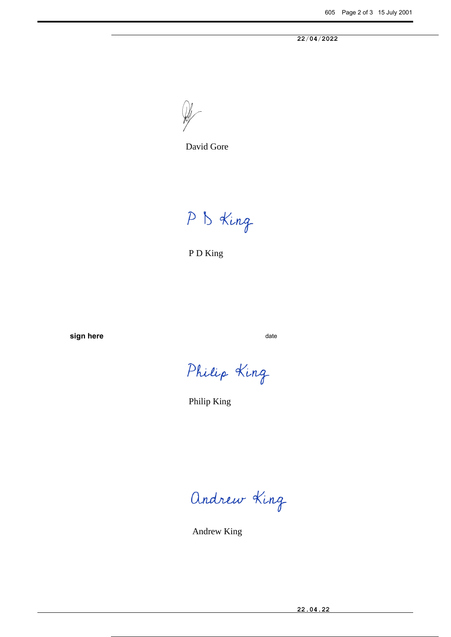**22**/**04**/**2022**



David Gore

P B King

P D King

**sign here** date date

Philip King

Philip King

Andrew King

Andrew King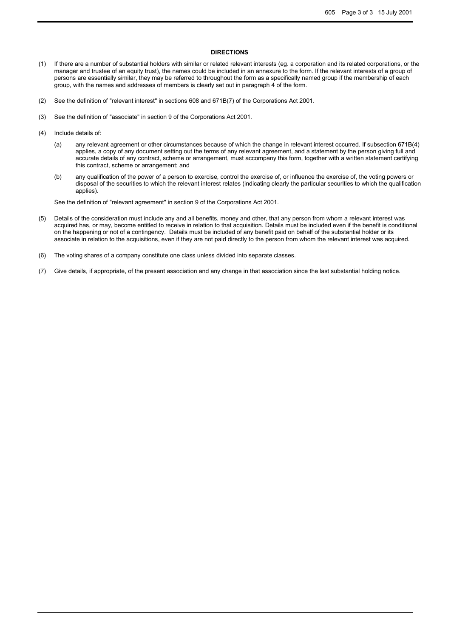#### **DIRECTIONS**

- (1) If there are a number of substantial holders with similar or related relevant interests (eg. a corporation and its related corporations, or the manager and trustee of an equity trust), the names could be included in an annexure to the form. If the relevant interests of a group of persons are essentially similar, they may be referred to throughout the form as a specifically named group if the membership of each group, with the names and addresses of members is clearly set out in paragraph 4 of the form.
- (2) See the definition of "relevant interest" in sections 608 and 671B(7) of the Corporations Act 2001.
- (3) See the definition of "associate" in section 9 of the Corporations Act 2001.
- (4) Include details of:
	- (a) any relevant agreement or other circumstances because of which the change in relevant interest occurred. If subsection 671B(4) applies, a copy of any document setting out the terms of any relevant agreement, and a statement by the person giving full and accurate details of any contract, scheme or arrangement, must accompany this form, together with a written statement certifying this contract, scheme or arrangement; and
	- (b) any qualification of the power of a person to exercise, control the exercise of, or influence the exercise of, the voting powers or disposal of the securities to which the relevant interest relates (indicating clearly the particular securities to which the qualification applies).

See the definition of "relevant agreement" in section 9 of the Corporations Act 2001.

- (5) Details of the consideration must include any and all benefits, money and other, that any person from whom a relevant interest was acquired has, or may, become entitled to receive in relation to that acquisition. Details must be included even if the benefit is conditional on the happening or not of a contingency. Details must be included of any benefit paid on behalf of the substantial holder or its associate in relation to the acquisitions, even if they are not paid directly to the person from whom the relevant interest was acquired.
- (6) The voting shares of a company constitute one class unless divided into separate classes.
- (7) Give details, if appropriate, of the present association and any change in that association since the last substantial holding notice.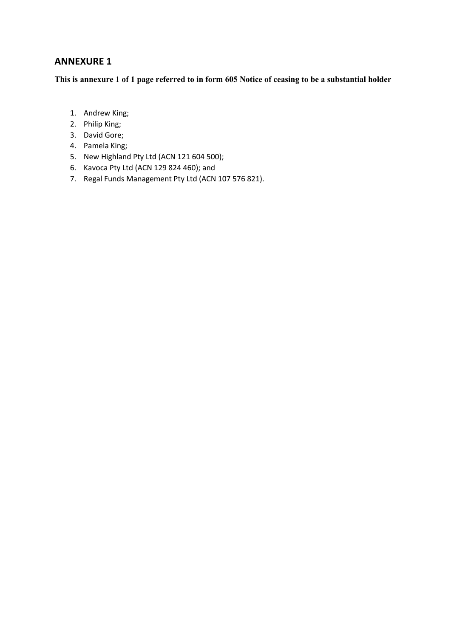**This is annexure 1 of 1 page referred to in form 605 Notice of ceasing to be a substantial holder**

- 1. Andrew King;
- 2. Philip King;
- 3. David Gore;
- 4. Pamela King;
- 5. New Highland Pty Ltd (ACN 121 604 500);
- 6. Kavoca Pty Ltd (ACN 129 824 460); and
- 7. Regal Funds Management Pty Ltd (ACN 107 576 821).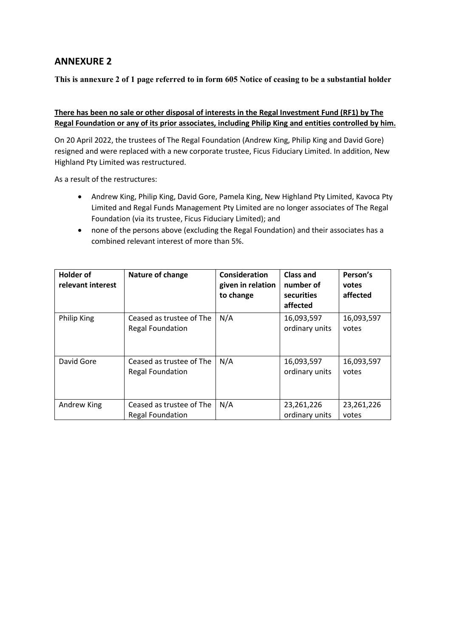**This is annexure 2 of 1 page referred to in form 605 Notice of ceasing to be a substantial holder**

### **There has been no sale or other disposal of interests in the Regal Investment Fund (RF1) by The Regal Foundation or any of its prior associates, including Philip King and entities controlled by him.**

On 20 April 2022, the trustees of The Regal Foundation (Andrew King, Philip King and David Gore) resigned and were replaced with a new corporate trustee, Ficus Fiduciary Limited. In addition, New Highland Pty Limited was restructured.

As a result of the restructures:

- Andrew King, Philip King, David Gore, Pamela King, New Highland Pty Limited, Kavoca Pty Limited and Regal Funds Management Pty Limited are no longer associates of The Regal Foundation (via its trustee, Ficus Fiduciary Limited); and
- none of the persons above (excluding the Regal Foundation) and their associates has a combined relevant interest of more than 5%.

| <b>Holder of</b><br>relevant interest | <b>Nature of change</b>                             | Consideration<br>given in relation<br>to change | <b>Class and</b><br>number of<br>securities<br>affected | Person's<br>votes<br>affected |
|---------------------------------------|-----------------------------------------------------|-------------------------------------------------|---------------------------------------------------------|-------------------------------|
| Philip King                           | Ceased as trustee of The<br><b>Regal Foundation</b> | N/A                                             | 16,093,597<br>ordinary units                            | 16,093,597<br>votes           |
| David Gore                            | Ceased as trustee of The<br><b>Regal Foundation</b> | N/A                                             | 16,093,597<br>ordinary units                            | 16,093,597<br>votes           |
| Andrew King                           | Ceased as trustee of The<br>Regal Foundation        | N/A                                             | 23,261,226<br>ordinary units                            | 23,261,226<br>votes           |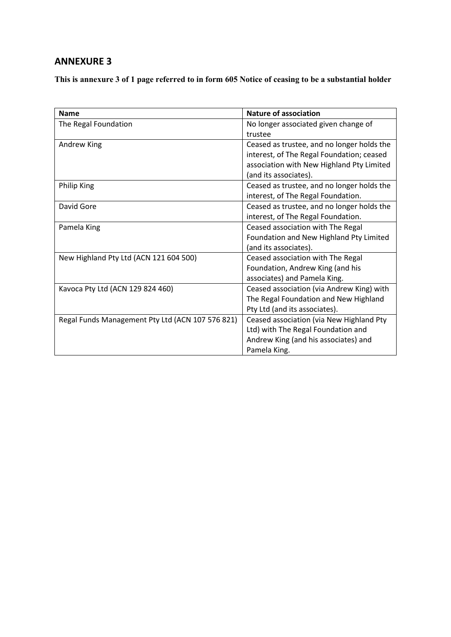**This is annexure 3 of 1 page referred to in form 605 Notice of ceasing to be a substantial holder**

| <b>Name</b>                                      | Nature of association                      |
|--------------------------------------------------|--------------------------------------------|
| The Regal Foundation                             | No longer associated given change of       |
|                                                  | trustee                                    |
| Andrew King                                      | Ceased as trustee, and no longer holds the |
|                                                  | interest, of The Regal Foundation; ceased  |
|                                                  | association with New Highland Pty Limited  |
|                                                  | (and its associates).                      |
| <b>Philip King</b>                               | Ceased as trustee, and no longer holds the |
|                                                  | interest, of The Regal Foundation.         |
| David Gore                                       | Ceased as trustee, and no longer holds the |
|                                                  | interest, of The Regal Foundation.         |
| Pamela King                                      | Ceased association with The Regal          |
|                                                  | Foundation and New Highland Pty Limited    |
|                                                  | (and its associates).                      |
| New Highland Pty Ltd (ACN 121 604 500)           | Ceased association with The Regal          |
|                                                  | Foundation, Andrew King (and his           |
|                                                  | associates) and Pamela King.               |
| Kavoca Pty Ltd (ACN 129 824 460)                 | Ceased association (via Andrew King) with  |
|                                                  | The Regal Foundation and New Highland      |
|                                                  | Pty Ltd (and its associates).              |
| Regal Funds Management Pty Ltd (ACN 107 576 821) | Ceased association (via New Highland Pty   |
|                                                  | Ltd) with The Regal Foundation and         |
|                                                  | Andrew King (and his associates) and       |
|                                                  | Pamela King.                               |